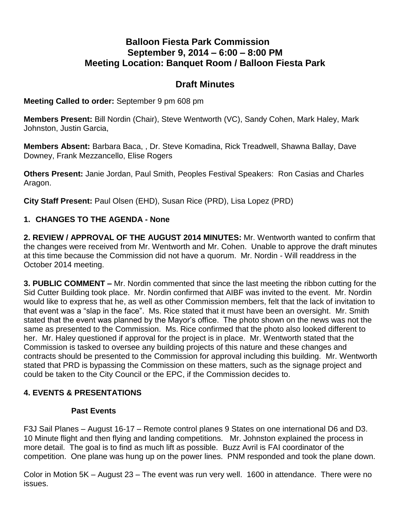# **Balloon Fiesta Park Commission September 9, 2014 – 6:00 – 8:00 PM Meeting Location: Banquet Room / Balloon Fiesta Park**

# **Draft Minutes**

#### **Meeting Called to order:** September 9 pm 608 pm

**Members Present:** Bill Nordin (Chair), Steve Wentworth (VC), Sandy Cohen, Mark Haley, Mark Johnston, Justin Garcia,

**Members Absent:** Barbara Baca, , Dr. Steve Komadina, Rick Treadwell, Shawna Ballay, Dave Downey, Frank Mezzancello, Elise Rogers

**Others Present:** Janie Jordan, Paul Smith, Peoples Festival Speakers: Ron Casias and Charles Aragon.

**City Staff Present:** Paul Olsen (EHD), Susan Rice (PRD), Lisa Lopez (PRD)

#### **1. CHANGES TO THE AGENDA - None**

**2. REVIEW / APPROVAL OF THE AUGUST 2014 MINUTES:** Mr. Wentworth wanted to confirm that the changes were received from Mr. Wentworth and Mr. Cohen. Unable to approve the draft minutes at this time because the Commission did not have a quorum. Mr. Nordin - Will readdress in the October 2014 meeting.

**3. PUBLIC COMMENT –** Mr. Nordin commented that since the last meeting the ribbon cutting for the Sid Cutter Building took place. Mr. Nordin confirmed that AIBF was invited to the event. Mr. Nordin would like to express that he, as well as other Commission members, felt that the lack of invitation to that event was a "slap in the face". Ms. Rice stated that it must have been an oversight. Mr. Smith stated that the event was planned by the Mayor's office. The photo shown on the news was not the same as presented to the Commission. Ms. Rice confirmed that the photo also looked different to her. Mr. Haley questioned if approval for the project is in place. Mr. Wentworth stated that the Commission is tasked to oversee any building projects of this nature and these changes and contracts should be presented to the Commission for approval including this building. Mr. Wentworth stated that PRD is bypassing the Commission on these matters, such as the signage project and could be taken to the City Council or the EPC, if the Commission decides to.

#### **4. EVENTS & PRESENTATIONS**

#### **Past Events**

F3J Sail Planes – August 16-17 – Remote control planes 9 States on one international D6 and D3. 10 Minute flight and then flying and landing competitions. Mr. Johnston explained the process in more detail. The goal is to find as much lift as possible. Buzz Avril is FAI coordinator of the competition. One plane was hung up on the power lines. PNM responded and took the plane down.

Color in Motion 5K – August 23 – The event was run very well. 1600 in attendance. There were no issues.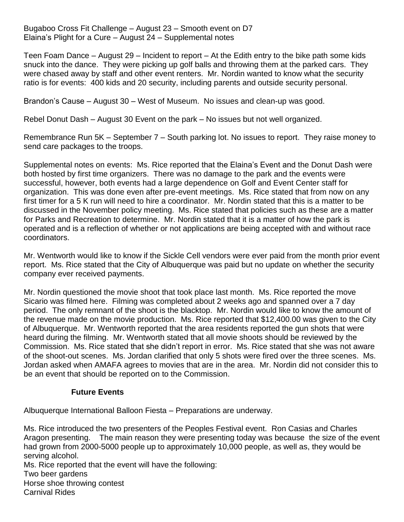Bugaboo Cross Fit Challenge – August 23 – Smooth event on D7 Elaina's Plight for a Cure – August 24 – Supplemental notes

Teen Foam Dance – August 29 – Incident to report – At the Edith entry to the bike path some kids snuck into the dance. They were picking up golf balls and throwing them at the parked cars. They were chased away by staff and other event renters. Mr. Nordin wanted to know what the security ratio is for events: 400 kids and 20 security, including parents and outside security personal.

Brandon's Cause – August 30 – West of Museum. No issues and clean-up was good.

Rebel Donut Dash – August 30 Event on the park – No issues but not well organized.

Remembrance Run 5K – September 7 – South parking lot. No issues to report. They raise money to send care packages to the troops.

Supplemental notes on events: Ms. Rice reported that the Elaina's Event and the Donut Dash were both hosted by first time organizers. There was no damage to the park and the events were successful, however, both events had a large dependence on Golf and Event Center staff for organization. This was done even after pre-event meetings. Ms. Rice stated that from now on any first timer for a 5 K run will need to hire a coordinator. Mr. Nordin stated that this is a matter to be discussed in the November policy meeting. Ms. Rice stated that policies such as these are a matter for Parks and Recreation to determine. Mr. Nordin stated that it is a matter of how the park is operated and is a reflection of whether or not applications are being accepted with and without race coordinators.

Mr. Wentworth would like to know if the Sickle Cell vendors were ever paid from the month prior event report. Ms. Rice stated that the City of Albuquerque was paid but no update on whether the security company ever received payments.

Mr. Nordin questioned the movie shoot that took place last month. Ms. Rice reported the move Sicario was filmed here. Filming was completed about 2 weeks ago and spanned over a 7 day period. The only remnant of the shoot is the blacktop. Mr. Nordin would like to know the amount of the revenue made on the movie production. Ms. Rice reported that \$12,400.00 was given to the City of Albuquerque. Mr. Wentworth reported that the area residents reported the gun shots that were heard during the filming. Mr. Wentworth stated that all movie shoots should be reviewed by the Commission. Ms. Rice stated that she didn't report in error. Ms. Rice stated that she was not aware of the shoot-out scenes. Ms. Jordan clarified that only 5 shots were fired over the three scenes. Ms. Jordan asked when AMAFA agrees to movies that are in the area. Mr. Nordin did not consider this to be an event that should be reported on to the Commission.

#### **Future Events**

Albuquerque International Balloon Fiesta – Preparations are underway.

Ms. Rice introduced the two presenters of the Peoples Festival event. Ron Casias and Charles Aragon presenting. The main reason they were presenting today was because the size of the event had grown from 2000-5000 people up to approximately 10,000 people, as well as, they would be serving alcohol.

Ms. Rice reported that the event will have the following: Two beer gardens Horse shoe throwing contest Carnival Rides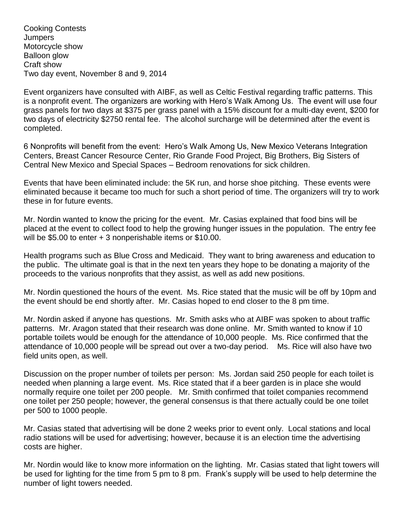Cooking Contests **Jumpers** Motorcycle show Balloon glow Craft show Two day event, November 8 and 9, 2014

Event organizers have consulted with AIBF, as well as Celtic Festival regarding traffic patterns. This is a nonprofit event. The organizers are working with Hero's Walk Among Us. The event will use four grass panels for two days at \$375 per grass panel with a 15% discount for a multi-day event, \$200 for two days of electricity \$2750 rental fee. The alcohol surcharge will be determined after the event is completed.

6 Nonprofits will benefit from the event: Hero's Walk Among Us, New Mexico Veterans Integration Centers, Breast Cancer Resource Center, Rio Grande Food Project, Big Brothers, Big Sisters of Central New Mexico and Special Spaces – Bedroom renovations for sick children.

Events that have been eliminated include: the 5K run, and horse shoe pitching. These events were eliminated because it became too much for such a short period of time. The organizers will try to work these in for future events.

Mr. Nordin wanted to know the pricing for the event. Mr. Casias explained that food bins will be placed at the event to collect food to help the growing hunger issues in the population. The entry fee will be \$5.00 to enter + 3 nonperishable items or \$10.00.

Health programs such as Blue Cross and Medicaid. They want to bring awareness and education to the public. The ultimate goal is that in the next ten years they hope to be donating a majority of the proceeds to the various nonprofits that they assist, as well as add new positions.

Mr. Nordin questioned the hours of the event. Ms. Rice stated that the music will be off by 10pm and the event should be end shortly after. Mr. Casias hoped to end closer to the 8 pm time.

Mr. Nordin asked if anyone has questions. Mr. Smith asks who at AIBF was spoken to about traffic patterns. Mr. Aragon stated that their research was done online. Mr. Smith wanted to know if 10 portable toilets would be enough for the attendance of 10,000 people. Ms. Rice confirmed that the attendance of 10,000 people will be spread out over a two-day period. Ms. Rice will also have two field units open, as well.

Discussion on the proper number of toilets per person: Ms. Jordan said 250 people for each toilet is needed when planning a large event. Ms. Rice stated that if a beer garden is in place she would normally require one toilet per 200 people. Mr. Smith confirmed that toilet companies recommend one toilet per 250 people; however, the general consensus is that there actually could be one toilet per 500 to 1000 people.

Mr. Casias stated that advertising will be done 2 weeks prior to event only. Local stations and local radio stations will be used for advertising; however, because it is an election time the advertising costs are higher.

Mr. Nordin would like to know more information on the lighting. Mr. Casias stated that light towers will be used for lighting for the time from 5 pm to 8 pm. Frank's supply will be used to help determine the number of light towers needed.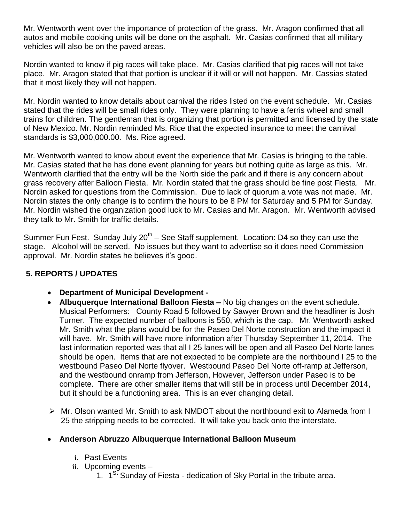Mr. Wentworth went over the importance of protection of the grass. Mr. Aragon confirmed that all autos and mobile cooking units will be done on the asphalt. Mr. Casias confirmed that all military vehicles will also be on the paved areas.

Nordin wanted to know if pig races will take place. Mr. Casias clarified that pig races will not take place. Mr. Aragon stated that that portion is unclear if it will or will not happen. Mr. Cassias stated that it most likely they will not happen.

Mr. Nordin wanted to know details about carnival the rides listed on the event schedule. Mr. Casias stated that the rides will be small rides only. They were planning to have a ferris wheel and small trains for children. The gentleman that is organizing that portion is permitted and licensed by the state of New Mexico. Mr. Nordin reminded Ms. Rice that the expected insurance to meet the carnival standards is \$3,000,000.00. Ms. Rice agreed.

Mr. Wentworth wanted to know about event the experience that Mr. Casias is bringing to the table. Mr. Casias stated that he has done event planning for years but nothing quite as large as this. Mr. Wentworth clarified that the entry will be the North side the park and if there is any concern about grass recovery after Balloon Fiesta. Mr. Nordin stated that the grass should be fine post Fiesta. Mr. Nordin asked for questions from the Commission. Due to lack of quorum a vote was not made. Mr. Nordin states the only change is to confirm the hours to be 8 PM for Saturday and 5 PM for Sunday. Mr. Nordin wished the organization good luck to Mr. Casias and Mr. Aragon. Mr. Wentworth advised they talk to Mr. Smith for traffic details.

Summer Fun Fest. Sunday July 20<sup>th</sup> – See Staff supplement. Location: D4 so they can use the stage. Alcohol will be served. No issues but they want to advertise so it does need Commission approval. Mr. Nordin states he believes it's good.

#### **5. REPORTS / UPDATES**

- **Department of Municipal Development -**
- **Albuquerque International Balloon Fiesta –** No big changes on the event schedule. Musical Performers: County Road 5 followed by Sawyer Brown and the headliner is Josh Turner. The expected number of balloons is 550, which is the cap. Mr. Wentworth asked Mr. Smith what the plans would be for the Paseo Del Norte construction and the impact it will have. Mr. Smith will have more information after Thursday September 11, 2014. The last information reported was that all I 25 lanes will be open and all Paseo Del Norte lanes should be open. Items that are not expected to be complete are the northbound I 25 to the westbound Paseo Del Norte flyover. Westbound Paseo Del Norte off-ramp at Jefferson, and the westbound onramp from Jefferson, However, Jefferson under Paseo is to be complete. There are other smaller items that will still be in process until December 2014, but it should be a functioning area. This is an ever changing detail.
- $\triangleright$  Mr. Olson wanted Mr. Smith to ask NMDOT about the northbound exit to Alameda from I 25 the stripping needs to be corrected. It will take you back onto the interstate.

#### **Anderson Abruzzo Albuquerque International Balloon Museum**

- i. Past Events
- ii. Upcoming events
	- 1. 1<sup>St</sup> Sunday of Fiesta dedication of Sky Portal in the tribute area.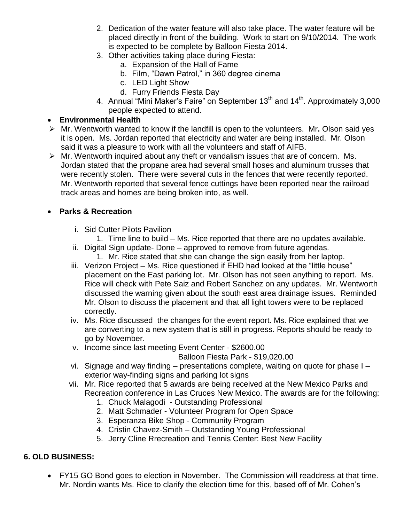- 2. Dedication of the water feature will also take place. The water feature will be placed directly in front of the building. Work to start on 9/10/2014. The work is expected to be complete by Balloon Fiesta 2014.
- 3. Other activities taking place during Fiesta:
	- a. Expansion of the Hall of Fame
	- b. Film, "Dawn Patrol," in 360 degree cinema
	- c. LED Light Show
	- d. Furry Friends Fiesta Day
- 4. Annual "Mini Maker's Faire" on September 13<sup>th</sup> and 14<sup>th</sup>. Approximately 3,000 people expected to attend.

### **Environmental Health**

- Mr. Wentworth wanted to know if the landfill is open to the volunteers. Mr**.** Olson said yes it is open. Ms. Jordan reported that electricity and water are being installed. Mr. Olson said it was a pleasure to work with all the volunteers and staff of AIFB.
- $\triangleright$  Mr. Wentworth inquired about any theft or vandalism issues that are of concern. Ms. Jordan stated that the propane area had several small hoses and aluminum trusses that were recently stolen. There were several cuts in the fences that were recently reported. Mr. Wentworth reported that several fence cuttings have been reported near the railroad track areas and homes are being broken into, as well.

# **Parks & Recreation**

- i. Sid Cutter Pilots Pavilion
	- 1. Time line to build Ms. Rice reported that there are no updates available.
- ii. Digital Sign update- Done approved to remove from future agendas. 1. Mr. Rice stated that she can change the sign easily from her laptop.
- iii. Verizon Project Ms. Rice questioned if EHD had looked at the "little house"
- placement on the East parking lot. Mr. Olson has not seen anything to report. Ms. Rice will check with Pete Saiz and Robert Sanchez on any updates. Mr. Wentworth discussed the warning given about the south east area drainage issues. Reminded Mr. Olson to discuss the placement and that all light towers were to be replaced correctly.
- iv. Ms. Rice discussed the changes for the event report. Ms. Rice explained that we are converting to a new system that is still in progress. Reports should be ready to go by November.
- v. Income since last meeting Event Center \$2600.00

Balloon Fiesta Park - \$19,020.00

- vi. Signage and way finding presentations complete, waiting on quote for phase I exterior way-finding signs and parking lot signs
- vii. Mr. Rice reported that 5 awards are being received at the New Mexico Parks and Recreation conference in Las Cruces New Mexico. The awards are for the following:
	- 1. Chuck Malagodi Outstanding Professional
	- 2. Matt Schmader Volunteer Program for Open Space
	- 3. Esperanza Bike Shop Community Program
	- 4. Cristin Chavez-Smith Outstanding Young Professional
	- 5. Jerry Cline Rrecreation and Tennis Center: Best New Facility

## **6. OLD BUSINESS:**

 FY15 GO Bond goes to election in November. The Commission will readdress at that time. Mr. Nordin wants Ms. Rice to clarify the election time for this, based off of Mr. Cohen's